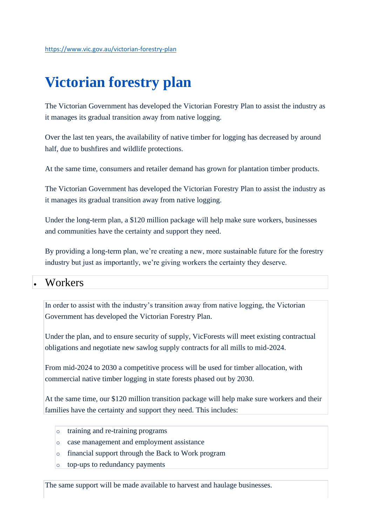# **Victorian forestry plan**

The Victorian Government has developed the Victorian Forestry Plan to assist the industry as it manages its gradual transition away from native logging.

Over the last ten years, the availability of native timber for logging has decreased by around half, due to bushfires and wildlife protections.

At the same time, consumers and retailer demand has grown for plantation timber products.

The Victorian Government has developed the Victorian Forestry Plan to assist the industry as it manages its gradual transition away from native logging.

Under the long-term plan, a \$120 million package will help make sure workers, businesses and communities have the certainty and support they need.

By providing a long-term plan, we're creating a new, more sustainable future for the forestry industry but just as importantly, we're giving workers the certainty they deserve.

#### • Workers

In order to assist with the industry's transition away from native logging, the Victorian Government has developed the Victorian Forestry Plan.

Under the plan, and to ensure security of supply, VicForests will meet existing contractual obligations and negotiate new sawlog supply contracts for all mills to mid-2024.

From mid-2024 to 2030 a competitive process will be used for timber allocation, with commercial native timber logging in state forests phased out by 2030.

At the same time, our \$120 million transition package will help make sure workers and their families have the certainty and support they need. This includes:

- o training and re-training programs
- o case management and employment assistance
- o financial support through the Back to Work program
- o top-ups to redundancy payments

The same support will be made available to harvest and haulage businesses.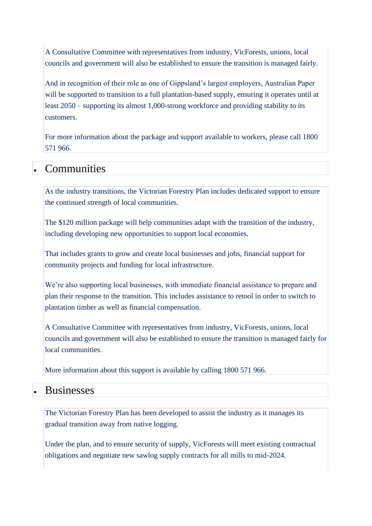A Consultative Committee with representatives from industry, VicForests, unions, local councils and government will also be established to ensure the transition is managed fairly.

And in recognition of their role as one of Gippsland's largest employers, Australian Paper will be supported to transition to a full plantation-based supply, ensuring it operates until at least 2050 – supporting its almost 1,000-strong workforce and providing stability to its customers.

For more information about the package and support available to workers, please call [1800](tel:1800571966)  [571 966.](tel:1800571966)

## • Communities

As the industry transitions, the Victorian Forestry Plan includes dedicated support to ensure the continued strength of local communities.

The \$120 million package will help communities adapt with the transition of the industry, including developing new opportunities to support local economies.

That includes grants to grow and create local businesses and jobs, financial support for community projects and funding for local infrastructure.

We're also supporting local businesses, with immediate financial assistance to prepare and plan their response to the transition. This includes assistance to retool in order to switch to plantation timber as well as financial compensation.

A Consultative Committee with representatives from industry, VicForests, unions, local councils and government will also be established to ensure the transition is managed fairly for local communities.

More information about this support is available by calling [1800 571 966.](tel:1800571966)

### • Businesses

The Victorian Forestry Plan has been developed to assist the industry as it manages its gradual transition away from native logging.

Under the plan, and to ensure security of supply, VicForests will meet existing contractual obligations and negotiate new sawlog supply contracts for all mills to mid-2024.